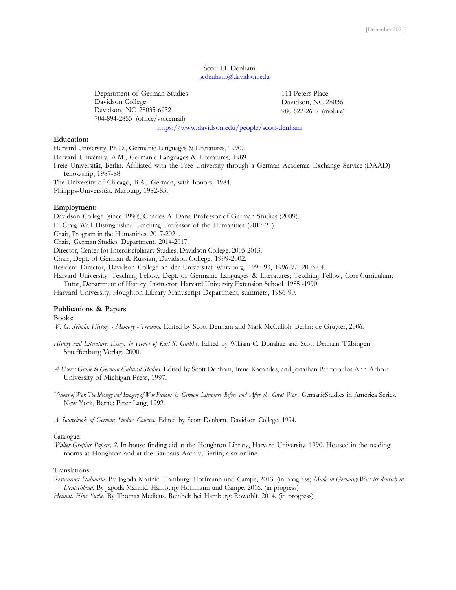## Scott D. Denham scdenham@davidson.edu

Department of German Studies Davidson College Davidson, NC 28035-6932 704-894-2855 (office/voicemail)

111 Peters Place Davidson, NC 28036 980-622-2617 (mobile)

https://www.davidson.edu/people/scott-denham

# **Education:**

Harvard University, Ph.D., Germanic Languages & Literatures, 1990. Harvard University, A.M., Germanic Languages & Literatures, 1989. Freie Universität, Berlin. Affiliated with the Free University through a German Academic Exchange Service (DAAD) fellowship, 1987-88.

The University of Chicago, B.A., German, with honors, 1984. Philipps-Universität, Marburg, 1982-83.

## **Employment:**

Davidson College (since 1990), Charles A. Dana Professor of German Studies (2009). E. Craig Wall Distinguished Teaching Professor of the Humanities (2017-21). Chair, Program in the Humanities. 2017-2021. Chair, German Studies Department. 2014-2017. Director, Center for Interdisciplinary Studies, Davidson College. 2005-2013. Chair, Dept. of German & Russian, Davidson College. 1999-2002. Resident Director, Davidson College an der Universität Würzburg. 1992-93, 1996-97, 2003-04. Harvard University: Teaching Fellow, Dept. of Germanic Languages & Literatures; Teaching Fellow, Core Curriculum; Tutor, Department of History; Instructor, Harvard University Extension School. 1985 -1990. Harvard University, Houghton Library Manuscript Department, summers, 1986-90.

# **Publications & Papers**

Books:

*W. G. Sebald. History - Memory - Trauma*. Edited by Scott Denham and Mark McCulloh. Berlin: de Gruyter, 2006.

- *History and Literature: Essays in Honor of Karl S. Guthke*. Edited by William C. Donahue and Scott Denham. Tübingen: Stauffenburg Verlag, 2000.
- *A User's Guide to German Cultural Studies*. Edited by Scott Denham, Irene Kacandes, and Jonathan Petropoulos.Ann Arbor: University of Michigan Press, 1997.
- Visions of War: The Ideology and Imagery of War Fictions in German Literature Before and After the Great War. GermanicStudies in America Series. New York, Berne: Peter Lang, 1992.

*A Sourcebook of German Studies Courses*. Edited by Scott Denham. Davidson College, 1994.

### Catalogue:

*Walter Gropius Papers, 2*. In-house finding aid at the Houghton Library, Harvard University. 1990. Housed in the reading rooms at Houghton and at the Bauhaus-Archiv, Berlin; also online.

# Translations:

*Restaurant Dalmatia*. By Jagoda Marinić. Hamburg: Hoffmann und Campe, 2013. (in progress) *Made in Germany.Was ist deutsch in Deutschland*. By Jagoda Marinić. Hamburg: Hoffmann und Campe, 2016. (in progress)

*Heimat. Eine Suche.* By Thomas Medicus. Reinbek bei Hamburg: Rowohlt, 2014. (in progress)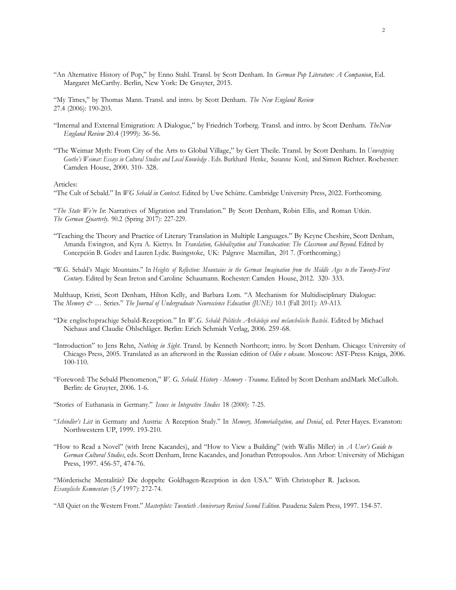"An Alternative History of Pop," by Enno Stahl. Transl. by Scott Denham. In *German Pop Literature: A Companion*, Ed. Margaret McCarthy. Berlin, New York: De Gruyter, 2015.

"My Times," by Thomas Mann. Transl. and intro. by Scott Denham. *The New England Review* 27.4 (2006): 190-203.

- "Internal and External Emigration: A Dialogue," by Friedrich Torberg. Transl. and intro. by Scott Denham. *TheNew England Review* 20.4 (1999): 36-56.
- "The Weimar Myth: From City of the Arts to Global Village," by Gert Theile. Transl. by Scott Denham. In *Unwrapping Goethe's Weimar: Essays in Cultural Studies and Local Knowledge* . Eds. Burkhard Henke, Susanne Kord, and Simon Richter. Rochester: Camden House, 2000. 310- 328.

Articles:

"The Cult of Sebald." In *WG Sebald in Context*. Edited by Uwe Schütte. Cambridge University Press, 2022. Forthcoming.

"*The State We're In*: Narratives of Migration and Translation." By Scott Denham, Robin Ellis, and Roman Utkin. *The German Quarterly*. 90.2 (Spring 2017): 227-229.

- "Teaching the Theory and Practice of Literary Translation in Multiple Languages." By Keyne Cheshire, Scott Denham, Amanda Ewington, and Kyra A. Kietrys. In *Translation, Globalization and Translocation: The Classroom and Beyond*. Edited by Concepción B. Godev and Lauren Lydic. Basingstoke, UK: Palgrave Macmillan, 201 7. (Forthcoming.)
- "W.G. Sebald's Magic Mountains." In Heights of Reflection: Mountains in the German Imagination from the Middle Ages to the Twenty-First *Century*. Edited by Sean Ireton and Caroline Schaumann. Rochester: Camden House, 2012. 320- 333.

Multhaup, Kristi, Scott Denham, Hilton Kelly, and Barbara Lom. "A Mechanism for Multidisciplinary Dialogue: The *Memory & …* Series." *The Journal of Undergraduate Neuroscience Education (JUNE)* 10.1 (Fall 2011): A9-A13.

- "Die englischsprachige Sebald-Rezeption." In *W.G. Sebald: Politische Archäologie und melancholische Bastelei*. Edited by Michael Niehaus and Claudie Öhlschläger. Berlin: Erich Schmidt Verlag, 2006. 259-68.
- "Introduction" to Jens Rehn, *Nothing in Sight*. Transl. by Kenneth Northcott; intro. by Scott Denham. Chicago: University of Chicago Press, 2005. Translated as an afterword in the Russian edition of *Odin v okeane*. Moscow: AST-Press Kniga, 2006. 100-110.
- "Foreword: The Sebald Phenomenon," *W. G. Sebald. History - Memory - Trauma*. Edited by Scott Denham andMark McCulloh. Berlin: de Gruyter, 2006. 1-6.

"Stories of Euthanasia in Germany." *Issues in Integrative Studies* 18 (2000): 7-25.

- "*Schindler's List* in Germany and Austria: A Reception Study." In *Memory, Memorialization, and Denial*, ed. Peter Hayes. Evanston: Northwestern UP, 1999. 193-210.
- "How to Read a Novel" (with Irene Kacandes), and "How to View a Building" (with Wallis Miller) in *A User's Guide to German Cultural Studies*, eds. Scott Denham, Irene Kacandes, and Jonathan Petropoulos. Ann Arbor: University of Michigan Press, 1997. 456-57, 474-76.

"Mörderische Mentalität? Die doppelte Goldhagen-Rezeption in den USA." With Christopher R. Jackson. *Evangelische Kommentare* (5/1997): 272-74.

"All Quiet on the Western Front." *Masterplots: Twentieth Anniversary Revised Second Edition*. Pasadena: Salem Press, 1997. 154-57.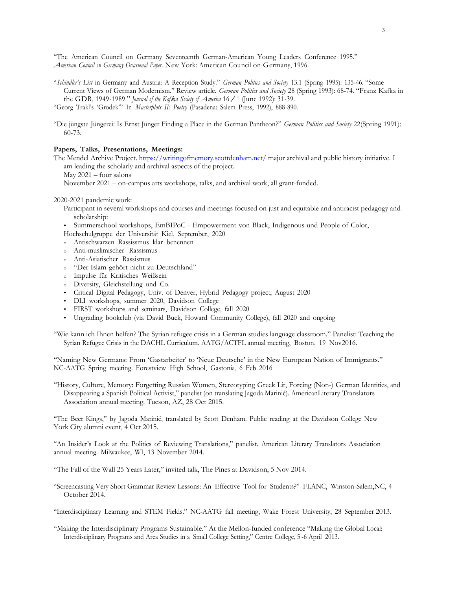"The American Council on Germany Seventeenth German-American Young Leaders Conference 1995." *American Council on Germany Occasional Paper*. New York: American Council on Germany, 1996.

- "*Schindler's List* in Germany and Austria: A Reception Study." *German Politics and Society* 13.1 (Spring 1995): 135-46. "Some Current Views of German Modernism." Review article. *German Politics and Society* 28 (Spring 1993): 68-74. "Franz Kafka in the GDR, 1949-1989." *Journal of the Kafka Society of America* 16/1 (June 1992): 31-39. "Georg Trakl's 'Grodek'" In *Masterplots II: Poetry* (Pasadena: Salem Press, 1992), 888-890.
- "Die jüngste Jüngerei: Is Ernst Jünger Finding a Place in the German Pantheon?" *German Politics and Society* 22(Spring 1991): 60-73.

### **Papers, Talks, Presentations, Meetings:**

The Mendel Archive Project. https://writingofmemory.scottdenham.net/ major archival and public history initiative. I am leading the scholarly and archival aspects of the project.

 $\text{May } 2021 - \text{four salons}$ 

November 2021 – on-campus arts workshops, talks, and archival work, all grant-funded.

2020-2021 pandemic work:

- Participant in several workshops and courses and meetings focused on just and equitable and antiracist pedagogy and scholarship:
- Summerschool workshops, EmBIPoC Empowerment von Black, Indigenous und People of Color,

Hochschulgruppe der Universität Kiel, September, 2020

- <sup>o</sup> Antischwarzen Rassissmus klar benennen
- <sup>o</sup> Anti-muslimischer Rassismus
- <sup>o</sup> Anti-Asiatischer Rassismus
- <sup>o</sup> "Der Islam gehört nicht zu Deutschland"
- <sup>o</sup> Impulse für Kritisches Weißsein
- <sup>o</sup> Diversity, Gleichstellung und Co.
- Critical Digital Pedagogy, Univ. of Denver, Hybrid Pedagogy project, August 2020
- DLI workshops, summer 2020, Davidson College
- FIRST workshops and seminars, Davidson College, fall 2020
- Ungrading bookclub (via David Buck, Howard Community College), fall 2020 and ongoing

"Wie kann ich Ihnen helfen? The Syrian refugee crisis in a German studies language classroom." Panelist: Teaching the Syrian Refugee Crisis in the DACHL Curriculum. AATG/ACTFL annual meeting, Boston, 19 Nov2016.

"Naming New Germans: From 'Gastarbeiter' to 'Neue Deutsche' in the New European Nation of Immigrants." NC-AATG Spring meeting. Forestview High School, Gastonia, 6 Feb 2016

"History, Culture, Memory: Forgetting Russian Women, Stereotyping Greek Lit, Forcing (Non-) German Identities, and Disappearing a Spanish Political Activist," panelist (on translating Jagoda Marinić). AmericanLiterary Translators Association annual meeting. Tucson, AZ, 28 Oct 2015.

"The Beer Kings," by Jagoda Marinić, translated by Scott Denham. Public reading at the Davidson College New York City alumni event, 4 Oct 2015.

"An Insider's Look at the Politics of Reviewing Translations," panelist. American Literary Translators Association annual meeting. Milwaukee, WI, 13 November 2014.

"The Fall of the Wall 25 Years Later," invited talk, The Pines at Davidson, 5 Nov 2014.

"Screencasting Very Short Grammar Review Lessons: An Effective Tool for Students?" FLANC, Winston-Salem,NC, 4 October 2014.

"Interdisciplinary Learning and STEM Fields." NC-AATG fall meeting, Wake Forest University, 28 September 2013.

"Making the Interdisciplinary Programs Sustainable." At the Mellon-funded conference "Making the Global Local: Interdisciplinary Programs and Area Studies in a Small College Setting," Centre College, 5 -6 April 2013.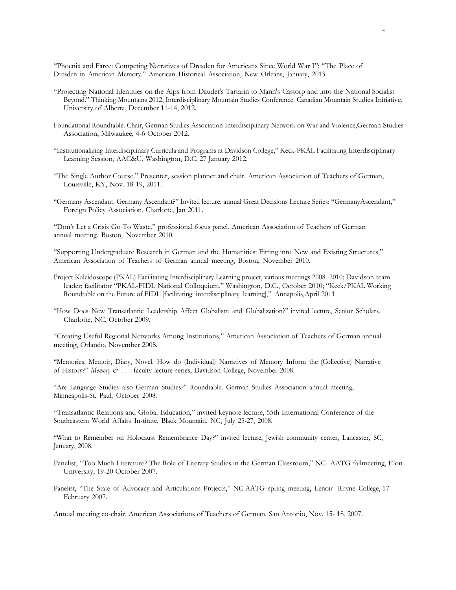"Phoenix and Farce: Competing Narratives of Dresden for Americans Since World War I"; "The Place of Dresden in American Memory." American Historical Association, New Orleans, January, 2013.

- "Projecting National Identities on the Alps from Daudet's Tartarin to Mann's Castorp and into the National Socialist Beyond." Thinking Mountains 2012, Interdisciplinary Mountain Studies Conference. Canadian Mountain Studies Initiative, University of Alberta, December 11-14, 2012.
- Foundational Roundtable. Chair, German Studies Association Interdisciplinary Network on War and Violence,German Studies Association, Milwaukee, 4-6 October 2012.
- "Institutionalizing Interdisciplinary Curricula and Programs at Davidson College," Keck-PKAL Facilitating Interdisciplinary Learning Session, AAC&U, Washington, D.C. 27 January 2012.
- "The Single Author Course." Presenter, session planner and chair. American Association of Teachers of German, Louisville, KY, Nov. 18-19, 2011.
- "Germany Ascendant. Germany Ascendant?" Invited lecture, annual Great Decisions Lecture Series: "GermanyAscendant," Foreign Policy Association, Charlotte, Jan 2011.

"Don't Let a Crisis Go To Waste," professional focus panel, American Association of Teachers of German annual meeting. Boston, November 2010.

"Supporting Undergraduate Research in German and the Humanities: Fitting into New and Existing Structures," American Association of Teachers of German annual meeting, Boston, November 2010.

- Project Kaleidoscope (PKAL) Facilitating Interdisciplinary Learning project, various meetings 2008 -2010; Davidson team leader; facilitator "PKAL-FIDL National Colloquium," Washington, D.C., October 2010; "Keck/PKAL Working Roundtable on the Future of FIDL [facilitating interdisciplinary learning]," Annapolis,April 2011.
- "How Does New Transatlantic Leadership Affect Globalism and Globalization?" invited lecture, Senior Scholars, Charlotte, NC, October 2009.

"Creating Useful Regional Networks Among Institutions," American Association of Teachers of German annual meeting, Orlando, November 2008.

"Memories, Memoir, Diary, Novel. How do (Individual) Narratives of Memory Inform the (Collective) Narrative of History?" *Memory & . . .* faculty lecture series, Davidson College, November 2008.

"Are Language Studies also German Studies?" Roundtable. German Studies Association annual meeting, Minneapolis-St. Paul, October 2008.

"Transatlantic Relations and Global Education," invited keynote lecture, 55th International Conference of the Southeastern World Affairs Institute, Black Mountain, NC, July 25-27, 2008.

"What to Remember on Holocaust Remembrance Day?" invited lecture, Jewish community center, Lancaster, SC, January, 2008.

Panelist, "Too Much Literature? The Role of Literary Studies in the German Classroom," NC- AATG fallmeeting, Elon University, 19-20 October 2007.

Panelist, "The State of Advocacy and Articulations Projects," NC-AATG spring meeting, Lenoir- Rhyne College, 17 February 2007.

Annual meeting co-chair, American Associations of Teachers of German. San Antonio, Nov. 15- 18, 2007.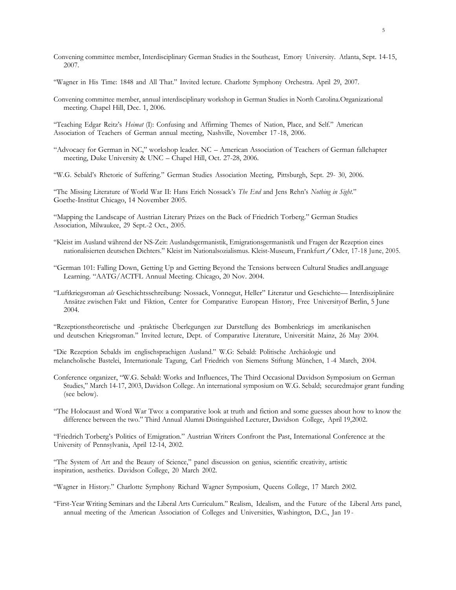- Convening committee member, Interdisciplinary German Studies in the Southeast, Emory University. Atlanta, Sept. 14-15, 2007.
- "Wagner in His Time: 1848 and All That." Invited lecture. Charlotte Symphony Orchestra. April 29, 2007.
- Convening committee member, annual interdisciplinary workshop in German Studies in North Carolina.Organizational meeting. Chapel Hill, Dec. 1, 2006.
- "Teaching Edgar Reitz's *Heimat* (I): Confusing and Affirming Themes of Nation, Place, and Self." American Association of Teachers of German annual meeting, Nashville, November 17 -18, 2006.
- "Advocacy for German in NC," workshop leader. NC American Association of Teachers of German fallchapter meeting, Duke University & UNC – Chapel Hill, Oct. 27-28, 2006.
- "W.G. Sebald's Rhetoric of Suffering." German Studies Association Meeting, Pittsburgh, Sept. 29- 30, 2006.

"The Missing Literature of World War II: Hans Erich Nossack's *The End* and Jens Rehn's *Nothing in Sight*." Goethe-Institut Chicago, 14 November 2005.

"Mapping the Landscape of Austrian Literary Prizes on the Back of Friedrich Torberg." German Studies Association, Milwaukee, 29 Sept.-2 Oct., 2005.

- "Kleist im Ausland während der NS-Zeit: Auslandsgermanistik, Emigrationsgermanistik und Fragen der Rezeption eines nationalisierten deutschen Dichters." Kleist im Nationalsozialismus. Kleist-Museum, Frankfurt/Oder, 17-18 June, 2005.
- "German 101: Falling Down, Getting Up and Getting Beyond the Tensions between Cultural Studies andLanguage Learning. "AATG/ACTFL Annual Meeting. Chicago, 20 Nov. 2004.
- "Luftkriegsroman *als* Geschichtsschreibung: Nossack, Vonnegut, Heller" Literatur und Geschichte— Interdisziplinäre Ansätze zwischen Fakt und Fiktion, Center for Comparative European History, Free Universityof Berlin, 5 June 2004.

"Rezeptionstheoretische und -praktische Überlegungen zur Darstellung des Bombenkriegs im amerikanischen und deutschen Kriegsroman." Invited lecture, Dept. of Comparative Literature, Universität Mainz, 26 May 2004.

"Die Rezeption Sebalds im englischsprachigen Ausland." W.G: Sebald: Politische Archäologie und melancholische Bastelei, Internationale Tagung, Carl Friedrich von Siemens Stiftung München, 1 -4 March, 2004.

Conference organizer, "W.G. Sebald: Works and Influences, The Third Occasional Davidson Symposium on German Studies," March 14-17, 2003, Davidson College. An international symposium on W.G. Sebald; securedmajor grant funding (see below).

"The Holocaust and Word War Two: a comparative look at truth and fiction and some guesses about how to know the difference between the two." Third Annual Alumni Distinguished Lecturer, Davidson College, April 19,2002.

"Friedrich Torberg's Politics of Emigration." Austrian Writers Confront the Past, International Conference at the University of Pennsylvania, April 12-14, 2002.

"The System of Art and the Beauty of Science," panel discussion on genius, scientific creativity, artistic inspiration, aesthetics. Davidson College, 20 March 2002.

"Wagner in History." Charlotte Symphony Richard Wagner Symposium, Queens College, 17 March 2002.

"First-Year Writing Seminars and the Liberal Arts Curriculum." Realism, Idealism, and the Future of the Liberal Arts panel, annual meeting of the American Association of Colleges and Universities, Washington, D.C., Jan 19 -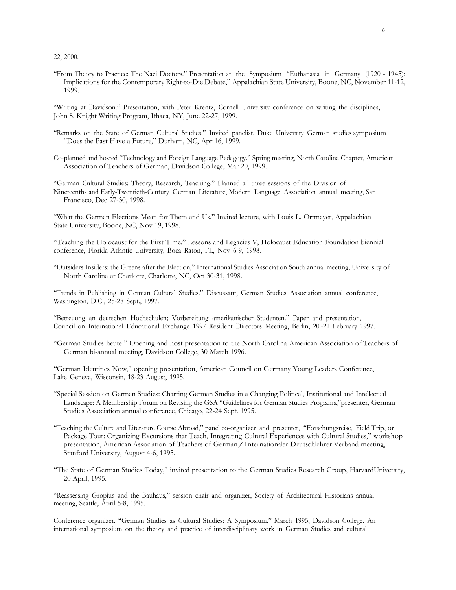22, 2000.

"From Theory to Practice: The Nazi Doctors." Presentation at the Symposium "Euthanasia in Germany (1920 - 1945): Implications for the Contemporary Right-to-Die Debate," Appalachian State University, Boone, NC, November 11-12, 1999.

"Writing at Davidson." Presentation, with Peter Krentz, Cornell University conference on writing the disciplines, John S. Knight Writing Program, Ithaca, NY, June 22-27, 1999.

- "Remarks on the State of German Cultural Studies." Invited panelist, Duke University German studies symposium "Does the Past Have a Future," Durham, NC, Apr 16, 1999.
- Co-planned and hosted "Technology and Foreign Language Pedagogy." Spring meeting, North Carolina Chapter, American Association of Teachers of German, Davidson College, Mar 20, 1999.

"German Cultural Studies: Theory, Research, Teaching." Planned all three sessions of the Division of Nineteenth- and Early-Twentieth-Century German Literature, Modern Language Association annual meeting, San Francisco, Dec 27-30, 1998.

"What the German Elections Mean for Them and Us." Invited lecture, with Louis L. Ortmayer, Appalachian State University, Boone, NC, Nov 19, 1998.

"Teaching the Holocaust for the First Time." Lessons and Legacies V, Holocaust Education Foundation biennial conference, Florida Atlantic University, Boca Raton, FL, Nov 6-9, 1998.

"Outsiders Insiders: the Greens after the Election," International Studies Association South annual meeting, University of North Carolina at Charlotte, Charlotte, NC, Oct 30-31, 1998.

"Trends in Publishing in German Cultural Studies." Discussant, German Studies Association annual conference, Washington, D.C., 25-28 Sept., 1997.

"Betreuung an deutschen Hochschulen; Vorbereitung amerikanischer Studenten." Paper and presentation, Council on International Educational Exchange 1997 Resident Directors Meeting, Berlin, 20 -21 February 1997.

"German Studies heute." Opening and host presentation to the North Carolina American Association of Teachers of German bi-annual meeting, Davidson College, 30 March 1996.

"German Identities Now," opening presentation, American Council on Germany Young Leaders Conference, Lake Geneva, Wisconsin, 18-23 August, 1995.

- "Special Session on German Studies: Charting German Studies in a Changing Political, Institutional and Intellectual Landscape: A Membership Forum on Revising the GSA "Guidelines for German Studies Programs,"presenter, German Studies Association annual conference, Chicago, 22-24 Sept. 1995.
- "Teaching the Culture and Literature Course Abroad," panel co-organizer and presenter, "Forschungsreise, Field Trip, or Package Tour: Organizing Excursions that Teach, Integrating Cultural Experiences with Cultural Studies," workshop presentation, American Association of Teachers of German/Internationaler Deutschlehrer Verband meeting, Stanford University, August 4-6, 1995.
- "The State of German Studies Today," invited presentation to the German Studies Research Group, HarvardUniversity, 20 April, 1995.

"Reassessing Gropius and the Bauhaus," session chair and organizer, Society of Architectural Historians annual meeting, Seattle, April 5-8, 1995.

Conference organizer, "German Studies as Cultural Studies: A Symposium," March 1995, Davidson College. An international symposium on the theory and practice of interdisciplinary work in German Studies and cultural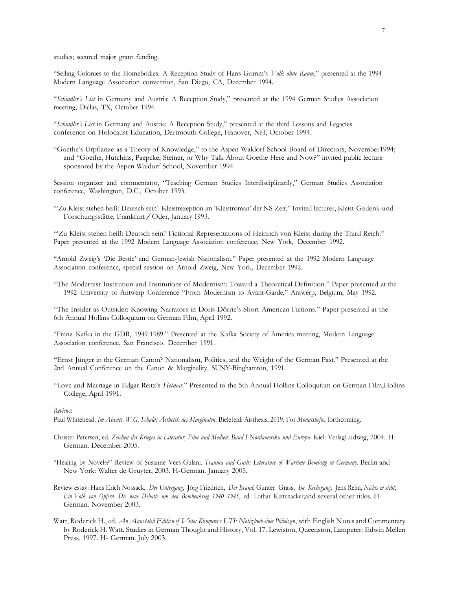studies; secured major grant funding.

"Selling Colonies to the Homebodies: A Reception Study of Hans Grimm's *Volk ohne Raum*," presented at the 1994 Modern Language Association convention, San Diego, CA, December 1994.

"*Schindler's List* in Germany and Austria: A Reception Study," presented at the 1994 German Studies Association meeting, Dallas, TX, October 1994.

"*Schindler's List* in Germany and Austria: A Reception Study," presented at the third Lessons and Legacies conference on Holocaust Education, Dartmouth College, Hanover, NH, October 1994.

"Goethe's Urpflanze as a Theory of Knowledge," to the Aspen Waldorf School Board of Directors, November1994; and "Goethe, Hutchins, Paepcke, Steiner, or Why Talk About Goethe Here and Now?" invited public lecture sponsored by the Aspen Waldorf School, November 1994.

Session organizer and commentator, "Teaching German Studies Interdisciplinarily," German Studies Association conference, Washington, D.C., October 1993.

"'Zu Kleist stehen heißt Deutsch sein': Kleistrezeption im 'Kleistroman' der NS-Zeit." Invited lecturer, Kleist-Gedenk-und-Forschungsstätte, Frankfurt/Oder, January 1993.

"'Zu Kleist stehen heißt Deutsch sein!' Fictional Representations of Heinrich von Kleist during the Third Reich." Paper presented at the 1992 Modern Language Association conference, New York, December 1992.

"Arnold Zweig's 'Die Bestie' and German-Jewish Nationalism." Paper presented at the 1992 Modern Language Association conference, special session on Arnold Zweig, New York, December 1992.

"The Modernist Institution and Institutions of Modernism: Toward a Theoretical Definition." Paper presented at the 1992 University of Antwerp Conference "From Modernism to Avant-Garde," Antwerp, Belgium, May 1992.

"The Insider as Outsider: Knowing Narrators in Doris Dörrie's Short American Fictions." Paper presented at the 6th Annual Hollins Colloquium on German Film, April 1992.

"Franz Kafka in the GDR, 1949-1989." Presented at the Kafka Society of America meeting, Modern Language Association conference, San Francisco, December 1991.

"Ernst Jünger in the German Canon? Nationalism, Politics, and the Weight of the German Past." Presented at the 2nd Annual Conference on the Canon & Marginality, SUNY-Binghamton, 1991.

"Love and Marriage in Edgar Reitz's *Heimat*." Presented to the 5th Annual Hollins Colloquium on German Film,Hollins College, April 1991.

*Reviews*:

Paul Whitehead. *Im Abseits. W.G. Sebalds Ästhetik des Marginalen*. Bielefeld: Aisthesis, 2019. For *Monatshefte*, forthcoming.

- Christer Petersen, ed. *Zeichen des Krieges in Literatur, Film und Medien: Band I Nordamerika und Europa*. Kiel: VerlagLudwig, 2004. H-German. December 2005.
- "Healing by Novels?" Review of Susanne Vees-Gulani. *Trauma and Guilt: Literature of Wartime Bombing in Germany*. Berlin and New York: Walter de Gruyter, 2003. H-German. January 2005.
- Review essay: Hans Erich Nossack, *Der Untergang*, Jörg Friedrich, *Der Brand*; Gunter Grass, *Im Krebsgang*; Jens Rehn, *Nichts in sicht*; *Ein Volk von Opfern: Die neue Debatte um den Bombenkrieg 1940 -1945*, ed. Lothar Kettenacker;and several other titles. H-German. November 2003.
- Watt, Roderick H., ed. *An Annotated Edition of Victor Klemperer's LTI: Notizbuch eines Philologen*, with English Notes and Commentary by Roderick H. Watt. Studies in German Thought and History, Vol. 17. Lewiston, Queenston, Lampeter: Edwin Mellen Press, 1997. H- German. July 2003.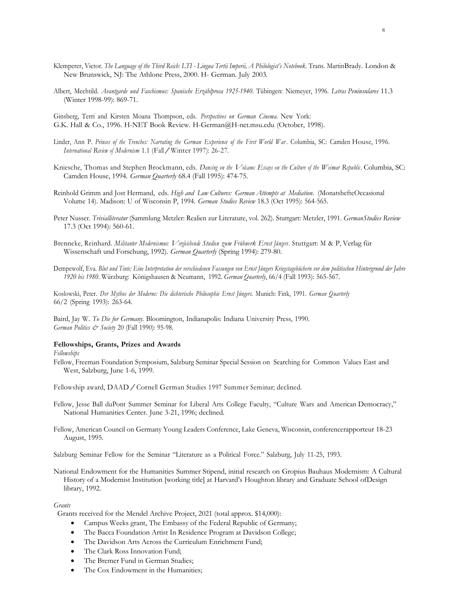- Klemperer, Victor. *The Language of the Third Reich: LTI - Lingua Tertii Imperii, A Philologist's Notebook*. Trans. MartinBrady. London & New Brunswick, NJ: The Athlone Press, 2000. H- German. July 2003.
- Albert, Mechtild. *Avantgarde und Faschismus: Spanische Erzählprosa 1925-1940*. Tübingen: Niemeyer, 1996. *Letras Peninsulares* 11.3 (Winter 1998-99): 869-71.

Ginsberg, Terri and Kirsten Moana Thompson, eds. *Perspectives on German Cinema*. New York: G.K. Hall & Co., 1996. H-NET Book Review. H-German@H-net.msu.edu (October, 1998).

- Linder, Ann P. *Princes of the Trenches: Narrating the German Experience of the First World War* . Columbia, SC: Camden House, 1996. *International Review of Modernism* 1.1 (Fall/Winter 1997): 26-27.
- Kniesche, Thomas and Stephen Brockmann, eds. *Dancing on the Volcano: Essays on the Culture of the Weimar Republic* . Columbia, SC: Camden House, 1994. *German Quarterly* 68.4 (Fall 1995): 474-75.

Reinhold Grimm and Jost Hermand, eds. *High and Low Cultures: German Attempts at Mediation*. (MonatshefteOccasional Volume 14). Madison: U of Wisconsin P, 1994. *German Studies Review* 18.3 (Oct 1995): 564-565.

- Peter Nusser. *Trivialliteratur* (Sammlung Metzler: Realien zur Literature, vol. 262). Stuttgart: Metzler, 1991. *GermanStudies Review* 17.3 (Oct 1994): 560-61.
- Brenneke, Reinhard. *Militanter Modernismus: Vergleichende Studien zum Frühwerk Ernst Jüngers*. Stuttgart: <sup>M</sup> & P, Verlag für Wissenschaft und Forschung, 1992). *German Quarterly* (Spring 1994): 279-80.
- Dempewolf, Eva. *Blut und Tinte: Eine Interpretation der verschiedenen Fassungen von Ernst Jüngers Kriegstagebüchern vor dem politischen Hintergrund der Jahre 1920 bis 1980*. Würzburg: Königshausen & Neumann, 1992. *German Quarterly*, 66/4 (Fall 1993): 565-567.

Koslowski, Peter. *Der Mythos der Moderne: Die dichterische Philosophie Ernst Jüngers*. Munich: Fink, 1991. *German Quarterly* 66/2 (Spring 1993): 263-64.

Baird, Jay W. *To Die for Germany*. Bloomington, Indianapolis: Indiana University Press, 1990. *German Politics & Society* 20 (Fall 1990): 95-98.

# **Fellowships, Grants, Prizes and Awards**

*Fellowships*

Fellow, Freeman Foundation Symposium, Salzburg Seminar Special Session on Searching for Common Values East and West, Salzburg, June 1-6, 1999.

Fellowship award, DAAD/Cornell German Studies <sup>1997</sup> Summer Seminar; declined.

- Fellow, Jesse Ball duPont Summer Seminar for Liberal Arts College Faculty, "Culture Wars and American Democracy," National Humanities Center. June 3-21, 1996; declined.
- Fellow, American Council on Germany Young Leaders Conference, Lake Geneva, Wisconsin, conferencerapporteur 18-23 August, 1995.

Salzburg Seminar Fellow for the Seminar "Literature as a Political Force." Salzburg, July 11-25, 1993.

National Endowment for the Humanities Summer Stipend, initial research on Gropius Bauhaus Modernism: A Cultural History of a Modernist Institution [working title] at Harvard's Houghton library and Graduate School ofDesign library, 1992.

### *Grants*

Grants received for the Mendel Archive Project, 2021 (total approx. \$14,000):

- Campus Weeks grant, The Embassy of the Federal Republic of Germany;
- The Bacca Foundation Artist In Residence Program at Davidson College;
- The Davidson Arts Across the Curriculum Enrichment Fund;
- The Clark Ross Innovation Fund;
- The Bremer Fund in German Studies;
- The Cox Endowment in the Humanities;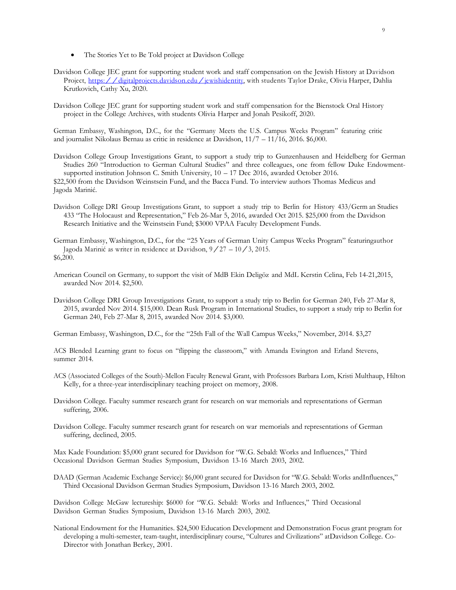- The Stories Yet to Be Told project at Davidson College
- Davidson College JEC grant for supporting student work and staff compensation on the Jewish History at Davidson Project, https://digitalprojects.davidson.edu/jewishidentity, with students Taylor Drake, Olivia Harper, Dahlia Krutkovich, Cathy Xu, 2020.
- Davidson College JEC grant for supporting student work and staff compensation for the Bienstock Oral History project in the College Archives, with students Olivia Harper and Jonah Pesikoff, 2020.

German Embassy, Washington, D.C., for the "Germany Meets the U.S. Campus Weeks Program" featuring critic and journalist Nikolaus Bernau as critic in residence at Davidson, 11/7 – 11/16, 2016. \$6,000.

Davidson College Group Investigations Grant, to support a study trip to Gunzenhausen and Heidelberg for German Studies 260 "Introduction to German Cultural Studies" and three colleagues, one from fellow Duke Endowmentsupported institution Johnson C. Smith University, 10 – 17 Dec 2016, awarded October 2016. \$22,500 from the Davidson Weinstsein Fund, and the Bacca Fund. To interview authors Thomas Medicus and

Jagoda Marinić.

- Davidson College DRI Group Investigations Grant, to support a study trip to Berlin for History 433/Germ an Studies 433 "The Holocaust and Representation," Feb 26-Mar 5, 2016, awarded Oct 2015. \$25,000 from the Davidson Research Initiative and the Weinstsein Fund; \$3000 VPAA Faculty Development Funds.
- German Embassy, Washington, D.C., for the "25 Years of German Unity Campus Weeks Program" featuringauthor Jagoda Marinić as writer in residence at Davidson,  $9/27 - 10/3$ , 2015. \$6,200.
- American Council on Germany, to support the visit of MdB Ekin Deligöz and MdL Kerstin Celina, Feb 14-21,2015, awarded Nov 2014. \$2,500.
- Davidson College DRI Group Investigations Grant, to support a study trip to Berlin for German 240, Feb 27-Mar 8, 2015, awarded Nov 2014. \$15,000. Dean Rusk Program in International Studies, to support a study trip to Berlin for German 240, Feb 27-Mar 8, 2015, awarded Nov 2014. \$3,000.

German Embassy, Washington, D.C., for the "25th Fall of the Wall Campus Weeks," November, 2014. \$3,27

ACS Blended Learning grant to focus on "flipping the classroom," with Amanda Ewington and Erland Stevens, summer 2014.

- ACS (Associated Colleges of the South)-Mellon Faculty Renewal Grant, with Professors Barbara Lom, Kristi Multhaup, Hilton Kelly, for a three-year interdisciplinary teaching project on memory, 2008.
- Davidson College. Faculty summer research grant for research on war memorials and representations of German suffering, 2006.
- Davidson College. Faculty summer research grant for research on war memorials and representations of German suffering, declined, 2005.

Max Kade Foundation: \$5,000 grant secured for Davidson for "W.G. Sebald: Works and Influences," Third Occasional Davidson German Studies Symposium, Davidson 13-16 March 2003, 2002.

DAAD (German Academic Exchange Service): \$6,000 grant secured for Davidson for "W.G. Sebald: Works andInfluences," Third Occasional Davidson German Studies Symposium, Davidson 13-16 March 2003, 2002.

Davidson College McGaw lectureship: \$6000 for "W.G. Sebald: Works and Influences," Third Occasional Davidson German Studies Symposium, Davidson 13-16 March 2003, 2002.

National Endowment for the Humanities. \$24,500 Education Development and Demonstration Focus grant program for developing a multi-semester, team-taught, interdisciplinary course, "Cultures and Civilizations" atDavidson College. Co-Director with Jonathan Berkey, 2001.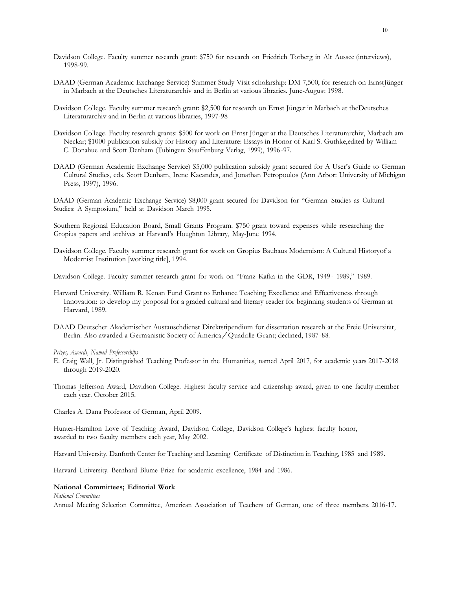- Davidson College. Faculty summer research grant: \$750 for research on Friedrich Torberg in Alt Aussee (interviews), 1998-99.
- DAAD (German Academic Exchange Service) Summer Study Visit scholarship: DM 7,500, for research on ErnstJünger in Marbach at the Deutsches Literaturarchiv and in Berlin at various libraries. June-August 1998.
- Davidson College. Faculty summer research grant: \$2,500 for research on Ernst Jünger in Marbach at theDeutsches Literaturarchiv and in Berlin at various libraries, 1997-98
- Davidson College. Faculty research grants: \$500 for work on Ernst Jünger at the Deutsches Literaturarchiv, Marbach am Neckar; \$1000 publication subsidy for History and Literature: Essays in Honor of Karl S. Guthke,edited by William C. Donahue and Scott Denham (Tübingen: Stauffenburg Verlag, 1999), 1996 -97.
- DAAD (German Academic Exchange Service) \$5,000 publication subsidy grant secured for A User's Guide to German Cultural Studies, eds. Scott Denham, Irene Kacandes, and Jonathan Petropoulos (Ann Arbor: University of Michigan Press, 1997), 1996.
- DAAD (German Academic Exchange Service) \$8,000 grant secured for Davidson for "German Studies as Cultural Studies: A Symposium," held at Davidson March 1995.

Southern Regional Education Board, Small Grants Program. \$750 grant toward expenses while researching the Gropius papers and archives at Harvard's Houghton Library, May-June 1994.

- Davidson College. Faculty summer research grant for work on Gropius Bauhaus Modernism: A Cultural Historyof a Modernist Institution [working title], 1994.
- Davidson College. Faculty summer research grant for work on "Franz Kafka in the GDR, 1949 1989," 1989.
- Harvard University. William R. Kenan Fund Grant to Enhance Teaching Excellence and Effectiveness through Innovation: to develop my proposal for a graded cultural and literary reader for beginning students of German at Harvard, 1989.
- DAAD Deutscher Akademischer Austauschdienst Direktstipendium for dissertation research at the Freie Universität, Berlin. Also awarded <sup>a</sup> Germanistic Society of America/Quadrille Grant; declined, <sup>1987</sup> -88.

### *Prizes, Awards, Named Professorships*

- E. Craig Wall, Jr. Distinguished Teaching Professor in the Humanities, named April 2017, for academic years 2017-2018 through 2019-2020.
- Thomas Jefferson Award, Davidson College. Highest faculty service and citizenship award, given to one faculty member each year. October 2015.

Charles A. Dana Professor of German, April 2009.

Hunter-Hamilton Love of Teaching Award, Davidson College, Davidson College's highest faculty honor, awarded to two faculty members each year, May 2002.

Harvard University. Danforth Center for Teaching and Learning Certificate of Distinction in Teaching, 1985 and 1989.

Harvard University. Bernhard Blume Prize for academic excellence, 1984 and 1986.

## **National Committees; Editorial Work**

*National Committees*

Annual Meeting Selection Committee, American Association of Teachers of German, one of three members. 2016-17.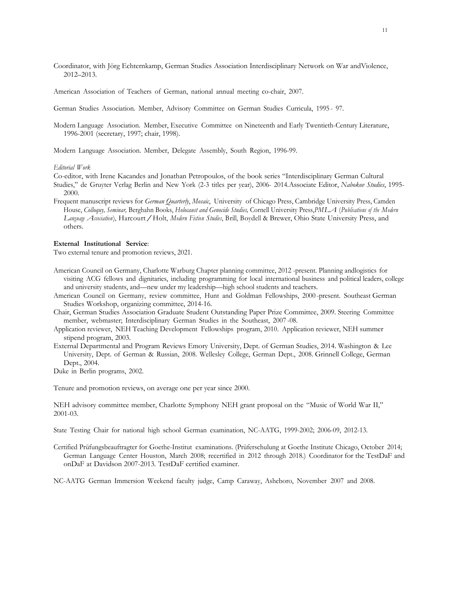Coordinator, with Jörg Echternkamp, German Studies Association Interdisciplinary Network on War andViolence, 2012–2013.

American Association of Teachers of German, national annual meeting co-chair, 2007.

German Studies Association. Member, Advisory Committee on German Studies Curricula, 1995 - 97.

Modern Language Association. Member, Executive Committee on Nineteenth and Early Twentieth-Century Literature, 1996-2001 (secretary, 1997; chair, 1998).

Modern Language Association. Member, Delegate Assembly, South Region, 1996-99.

#### *Editorial Work*

Co-editor, with Irene Kacandes and Jonathan Petropoulos, of the book series "Interdisciplinary German Cultural Studies," de Gruyter Verlag Berlin and New York (2-3 titles per year), 2006- 2014.Associate Editor, *Nabokov Studies*, 1995- 2000.

Frequent manuscript reviews for *German Quarterly*, *Mosaic*, University of Chicago Press, Cambridge University Press, Camden House, *Colloquy, Seminar,* Berghahn Books, *Holocaust and Genocide Studies,* Cornell University Press,*PMLA* (*Publications of the Modern Language Association*), Harcourt/Holt, *Modern Fiction Studies*, Brill, Boydell & Brewer, Ohio State University Press, and others.

#### **External Institutional Service**:

Two external tenure and promotion reviews, 2021.

- American Council on Germany, Charlotte Warburg Chapter planning committee, 2012 -present. Planning andlogistics for visiting ACG fellows and dignitaries, including programming for local international business and political leaders, college and university students, and—new under my leadership—high school students and teachers.
- American Council on Germany, review committee, Hunt and Goldman Fellowships, 2000 -present. Southeast German Studies Workshop, organizing committee, 2014-16.
- Chair, German Studies Association Graduate Student Outstanding Paper Prize Committee, 2009. Steering Committee member, webmaster; Interdisciplinary German Studies in the Southeast, 2007 -08.
- Application reviewer, NEH Teaching Development Fellowships program, 2010. Application reviewer, NEH summer stipend program, 2003.
- External Departmental and Program Reviews Emory University, Dept. of German Studies, 2014. Washington & Lee University, Dept. of German & Russian, 2008. Wellesley College, German Dept., 2008. Grinnell College, German Dept., 2004.

Duke in Berlin programs, 2002.

Tenure and promotion reviews, on average one per year since 2000.

NEH advisory committee member, Charlotte Symphony NEH grant proposal on the "Music of World War II," 2001-03.

State Testing Chair for national high school German examination, NC-AATG, 1999-2002; 2006-09, 2012-13.

Certified Prüfungsbeauftragter for Goethe-Institut examinations. (Prüferschulung at Goethe Institute Chicago, October 2014; German Language Center Houston, March 2008; recertified in 2012 through 2018.) Coordinator for the TestDaF and onDaF at Davidson 2007-2013. TestDaF certified examiner.

NC-AATG German Immersion Weekend faculty judge, Camp Caraway, Asheboro, November 2007 and 2008.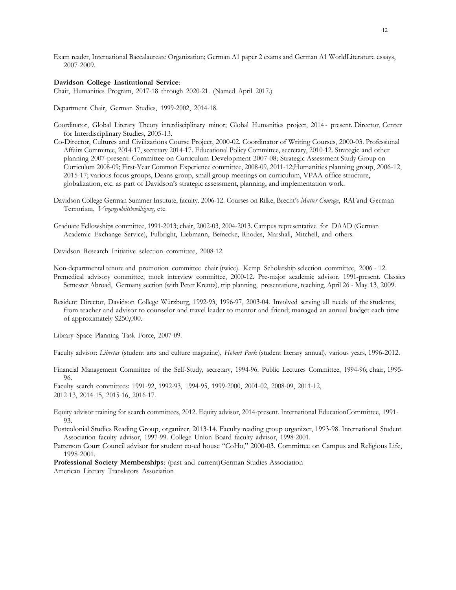Exam reader, International Baccalaureate Organization; German A1 paper 2 exams and German A1 WorldLiterature essays, 2007-2009.

#### **Davidson College Institutional Service**:

Chair, Humanities Program, 2017-18 through 2020-21. (Named April 2017.)

Department Chair, German Studies, 1999-2002, 2014-18.

- Coordinator, Global Literary Theory interdisciplinary minor; Global Humanities project, 2014 present. Director, Center for Interdisciplinary Studies, 2005-13.
- Co-Director, Cultures and Civilizations Course Project, 2000-02. Coordinator of Writing Courses, 2000-03. Professional Affairs Committee, 2014-17, secretary 2014-17. Educational Policy Committee, secretary, 2010-12. Strategic and other planning 2007-present: Committee on Curriculum Development 2007-08; Strategic Assessment Study Group on Curriculum 2008-09; First-Year Common Experience committee, 2008-09, 2011-12;Humanities planning group, 2006-12, 2015-17; various focus groups, Deans group, small group meetings on curriculum, VPAA office structure, globalization, etc. as part of Davidson's strategic assessment, planning, and implementation work.
- Davidson College German Summer Institute, faculty. 2006-12. Courses on Rilke, Brecht's *Mutter Courage*, RAFand German Terrorism, *Vergangenheitsbewältigung*, etc.
- Graduate Fellowships committee, 1991-2013; chair, 2002-03, 2004-2013. Campus representative for DAAD (German Academic Exchange Service), Fulbright, Liebmann, Beinecke, Rhodes, Marshall, Mitchell, and others.
- Davidson Research Initiative selection committee, 2008-12.

Non-departmental tenure and promotion committee chair (twice). Kemp Scholarship selection committee, 2006 - 12. Premedical advisory committee, mock interview committee, 2000-12. Pre-major academic advisor, 1991-present. Classics Semester Abroad, Germany section (with Peter Krentz), trip planning, presentations, teaching, April 26 - May 13, 2009.

Resident Director, Davidson College Würzburg, 1992-93, 1996-97, 2003-04. Involved serving all needs of the students, from teacher and advisor to counselor and travel leader to mentor and friend; managed an annual budget each time of approximately \$250,000.

Library Space Planning Task Force, 2007-09.

Faculty advisor: *Libertas* (student arts and culture magazine), *Hobart Park* (student literary annual), various years, 1996-2012.

Financial Management Committee of the Self-Study, secretary, 1994-96. Public Lectures Committee, 1994-96; chair, 1995- 96.

Faculty search committees: 1991-92, 1992-93, 1994-95, 1999-2000, 2001-02, 2008-09, 2011-12, 2012-13, 2014-15, 2015-16, 2016-17.

Equity advisor training for search committees, 2012. Equity advisor, 2014-present. International EducationCommittee, 1991- 93.

Postcolonial Studies Reading Group, organizer, 2013-14. Faculty reading group organizer, 1993-98. International Student Association faculty advisor, 1997-99. College Union Board faculty advisor, 1998-2001.

Patterson Court Council advisor for student co-ed house "CoHo," 2000-03. Committee on Campus and Religious Life, 1998-2001.

**Professional Society Memberships**: (past and current)German Studies Association American Literary Translators Association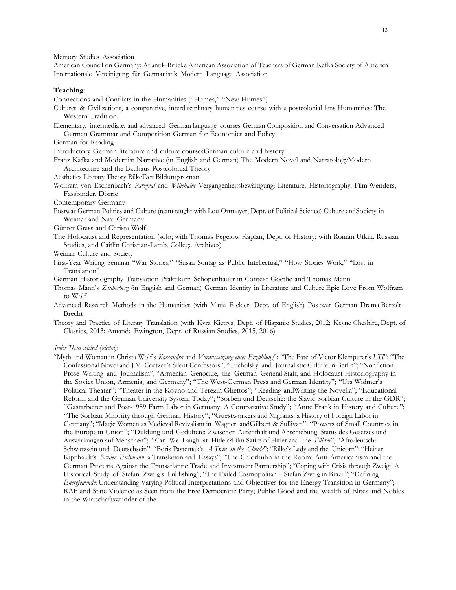Memory Studies Association

American Council on Germany; Atlantik-Brücke American Association of Teachers of German Kafka Society of America Internationale Vereinigung für Germanistik Modern Language Association

### **Teaching**:

Connections and Conflicts in the Humanities ("Humes," "New Humes")

- Cultures & Civilizations, a comparative, interdisciplinary humanities course with a postcolonial lens Humanities: The Western Tradition.
- Elementary, intermediate, and advanced German language courses German Composition and Conversation Advanced German Grammar and Composition German for Economics and Policy
- German for Reading

Introductory German literature and culture coursesGerman culture and history

Franz Kafka and Modernist Narrative (in English and German) The Modern Novel and NarratologyModern Architecture and the Bauhaus Postcolonial Theory

- Aesthetics Literary Theory RilkeDer Bildungsroman
- Wolfram von Eschenbach's *Parzival* and *Willehalm* Vergangenheitsbewältigung: Literature, Historiography, Film Wenders, Fassbinder, Dörrie
- Contemporary Germany
- Postwar German Politics and Culture (team taught with Lou Ortmayer, Dept. of Political Science) Culture andSociety in Weimar and Nazi Germany
- Günter Grass and Christa Wolf
- The Holocaust and Representation (solo; with Thomas Pegelow Kaplan, Dept. of History; with Roman Utkin, Russian Studies, and Caitlin Christian-Lamb, College Archives)
- Weimar Culture and Society
- First-Year Writing Seminar "War Stories," "Susan Sontag as Public Intellectual," "How Stories Work," "Lost in Translation"
- German Historiography Translation Praktikum Schopenhauer in Context Goethe and Thomas Mann
- Thomas Mann's *Zauberberg* (in English and German) German Identity in Literature and Culture Epic Love From Wolfram to Wolf
- Advanced Research Methods in the Humanities (with Maria Fackler, Dept. of English) Pos twar German Drama Bertolt Brecht
- Theory and Practice of Literary Translation (with Kyra Kietrys, Dept. of Hispanic Studies, 2012; Keyne Cheshire, Dept. of Classics, 2013; Amanda Ewington, Dept. of Russian Studies, 2015, 2016)

*Senior Theses advised (selected)*:

"Myth and Woman in Christa Wolf's *Kassandra* and *Voraussetzung einer Erzählung*"; "The Fate of Victor Klemperer's *LTI*"; "The Confessional Novel and J.M. Coetzee's Silent Confessors"; "Tucholsky and Journalistic Culture in Berlin"; "Nonfiction Prose Writing and Journalism"; "Armenian Genocide, the German General Staff, and Holocaust Historiography in the Soviet Union, Armenia, and Germany"; "The West-German Press and German Identity"; "Urs Widmer's Political Theater"; "Theater in the Kovno and Terezin Ghettos"; "Reading andWriting the Novella"; "Educational Reform and the German University System Today"; "Sorben und Deutsche: the Slavic Sorbian Culture in the GDR"; "Gastarbeiter and Post-1989 Farm Labor in Germany: A Comparative Study"; "Anne Frank in History and Culture"; "The Sorbian Minority through German History"; "Guestworkers and Migrants: a History of Foreign Labor in Germany"; "Magic Women as Medieval Revivalism in Wagner andGilbert & Sullivan"; "Powers of Small Countries in the European Union"; "Duldung und Gedultete: Zwischen Aufenthalt und Abschiebung. Status des Gesetzes und Auswirkungen auf Menschen"; "Can We Laugh at Hitle r?Film Satire of Hitler and the *Führer*"; "Afrodeutsch: Schwarzsein und Deutschsein"; "Boris Pasternak's *A Twin in the Clouds*"; "Rilke's Lady and the Unicorn"; "Heinar Kipphardt's *Bruder Eichmann*: a Translation and Essays"; "The Chlorhuhn in the Room: Anti-Americanism and the German Protests Against the Transatlantic Trade and Investment Partnership"; "Coping with Crisis through Zweig: A Historical Study of Stefan Zweig's Publishing"; "The Exiled Cosmopolitan – Stefan Zweig in Brazil"; "Defining *Energiewende*: Understanding Varying Political Interpretations and Objectives for the Energy Transition in Germany"; RAF and State Violence as Seen from the Free Democratic Party; Public Good and the Wealth of Elites and Nobles in the Wirtschaftswunder of the